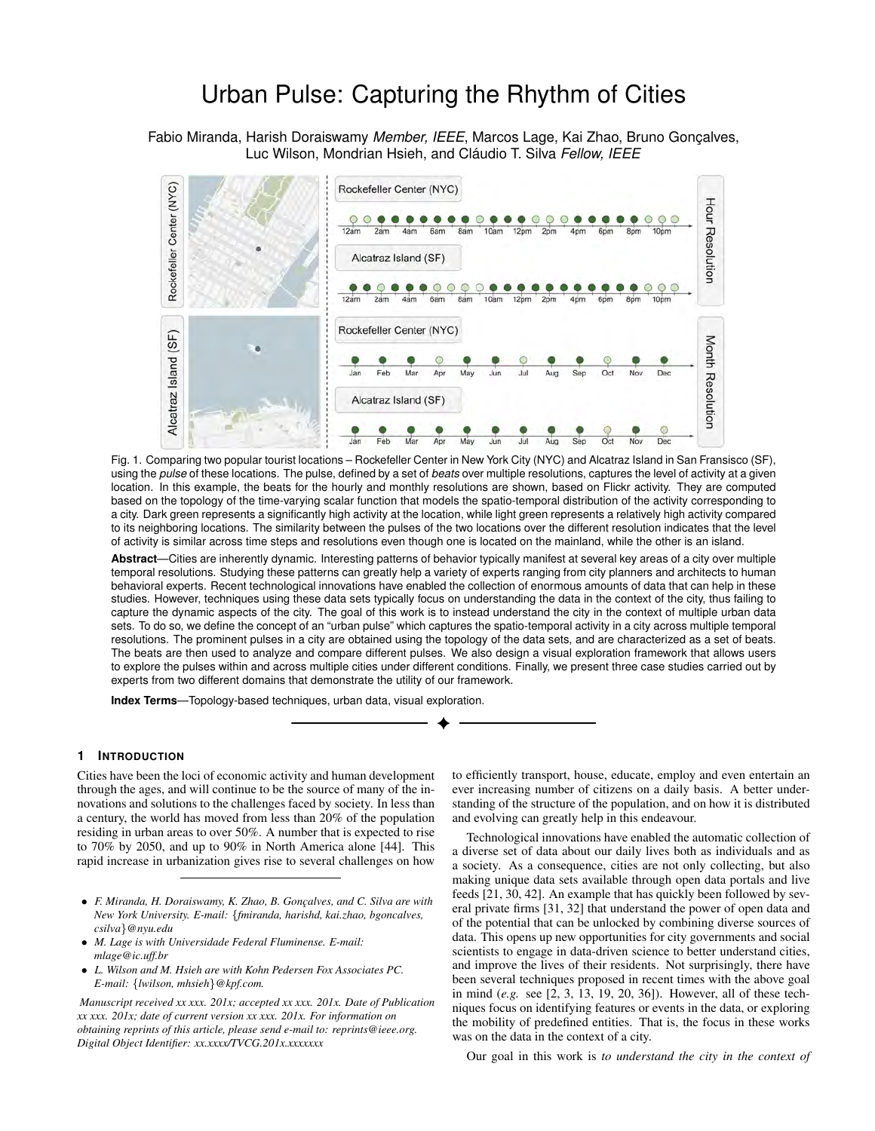# Urban Pulse: Capturing the Rhythm of Cities

Fabio Miranda, Harish Doraiswamy *Member, IEEE*, Marcos Lage, Kai Zhao, Bruno Goncalves, Luc Wilson, Mondrian Hsieh, and Cláudio T. Silva Fellow, IEEE



Fig. 1. Comparing two popular tourist locations – Rockefeller Center in New York City (NYC) and Alcatraz Island in San Fransisco (SF), using the *pulse* of these locations. The pulse, defined by a set of *beats* over multiple resolutions, captures the level of activity at a given location. In this example, the beats for the hourly and monthly resolutions are shown, based on Flickr activity. They are computed based on the topology of the time-varying scalar function that models the spatio-temporal distribution of the activity corresponding to a city. Dark green represents a significantly high activity at the location, while light green represents a relatively high activity compared to its neighboring locations. The similarity between the pulses of the two locations over the different resolution indicates that the level of activity is similar across time steps and resolutions even though one is located on the mainland, while the other is an island.

**Abstract**—Cities are inherently dynamic. Interesting patterns of behavior typically manifest at several key areas of a city over multiple temporal resolutions. Studying these patterns can greatly help a variety of experts ranging from city planners and architects to human behavioral experts. Recent technological innovations have enabled the collection of enormous amounts of data that can help in these studies. However, techniques using these data sets typically focus on understanding the data in the context of the city, thus failing to capture the dynamic aspects of the city. The goal of this work is to instead understand the city in the context of multiple urban data sets. To do so, we define the concept of an "urban pulse" which captures the spatio-temporal activity in a city across multiple temporal resolutions. The prominent pulses in a city are obtained using the topology of the data sets, and are characterized as a set of beats. The beats are then used to analyze and compare different pulses. We also design a visual exploration framework that allows users to explore the pulses within and across multiple cities under different conditions. Finally, we present three case studies carried out by experts from two different domains that demonstrate the utility of our framework.

**Index Terms**—Topology-based techniques, urban data, visual exploration.

# **1 INTRODUCTION**

Cities have been the loci of economic activity and human development through the ages, and will continue to be the source of many of the innovations and solutions to the challenges faced by society. In less than a century, the world has moved from less than 20% of the population residing in urban areas to over 50%. A number that is expected to rise to 70% by 2050, and up to 90% in North America alone [\[44\]](#page-9-0). This rapid increase in urbanization gives rise to several challenges on how

- *F. Miranda, H. Doraiswamy, K. Zhao, B. Gonçalves, and C. Silva are with New York University. E-mail:* {*fmiranda, harishd, kai.zhao, bgoncalves, csilva*}*@nyu.edu*
- *M. Lage is with Universidade Federal Fluminense. E-mail: mlage@ic.uff.br*
- *L. Wilson and M. Hsieh are with Kohn Pedersen Fox Associates PC. E-mail:* {*lwilson, mhsieh*}*@kpf.com.*

*Manuscript received xx xxx. 201x; accepted xx xxx. 201x. Date of Publication xx xxx. 201x; date of current version xx xxx. 201x. For information on obtaining reprints of this article, please send e-mail to: reprints@ieee.org. Digital Object Identifier: xx.xxxx/TVCG.201x.xxxxxxx*

to efficiently transport, house, educate, employ and even entertain an ever increasing number of citizens on a daily basis. A better understanding of the structure of the population, and on how it is distributed and evolving can greatly help in this endeavour.

Technological innovations have enabled the automatic collection of a diverse set of data about our daily lives both as individuals and as a society. As a consequence, cities are not only collecting, but also making unique data sets available through open data portals and live feeds [\[21,](#page-9-1) [30,](#page-9-2) [42\]](#page-9-3). An example that has quickly been followed by several private firms [\[31,](#page-9-4) [32\]](#page-9-5) that understand the power of open data and of the potential that can be unlocked by combining diverse sources of data. This opens up new opportunities for city governments and social scientists to engage in data-driven science to better understand cities, and improve the lives of their residents. Not surprisingly, there have been several techniques proposed in recent times with the above goal in mind (*e.g.* see [\[2,](#page-9-6) [3,](#page-9-7) [13,](#page-9-8) [19,](#page-9-9) [20,](#page-9-10) [36\]](#page-9-11)). However, all of these techniques focus on identifying features or events in the data, or exploring the mobility of predefined entities. That is, the focus in these works was on the data in the context of a city.

Our goal in this work is *to understand the city in the context of*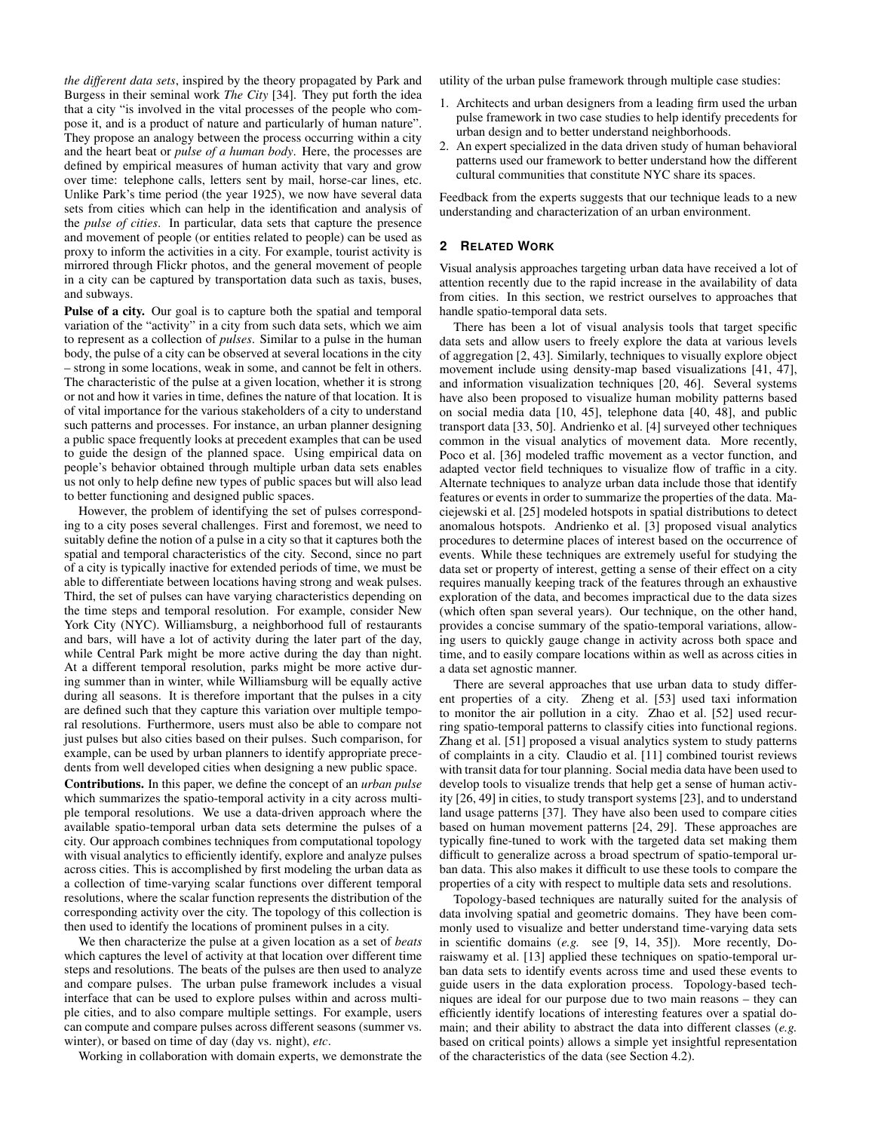*the different data sets*, inspired by the theory propagated by Park and Burgess in their seminal work *The City* [\[34\]](#page-9-12). They put forth the idea that a city "is involved in the vital processes of the people who compose it, and is a product of nature and particularly of human nature". They propose an analogy between the process occurring within a city and the heart beat or *pulse of a human body*. Here, the processes are defined by empirical measures of human activity that vary and grow over time: telephone calls, letters sent by mail, horse-car lines, etc. Unlike Park's time period (the year 1925), we now have several data sets from cities which can help in the identification and analysis of the *pulse of cities*. In particular, data sets that capture the presence and movement of people (or entities related to people) can be used as proxy to inform the activities in a city. For example, tourist activity is mirrored through Flickr photos, and the general movement of people in a city can be captured by transportation data such as taxis, buses, and subways.

Pulse of a city. Our goal is to capture both the spatial and temporal variation of the "activity" in a city from such data sets, which we aim to represent as a collection of *pulses*. Similar to a pulse in the human body, the pulse of a city can be observed at several locations in the city – strong in some locations, weak in some, and cannot be felt in others. The characteristic of the pulse at a given location, whether it is strong or not and how it varies in time, defines the nature of that location. It is of vital importance for the various stakeholders of a city to understand such patterns and processes. For instance, an urban planner designing a public space frequently looks at precedent examples that can be used to guide the design of the planned space. Using empirical data on people's behavior obtained through multiple urban data sets enables us not only to help define new types of public spaces but will also lead to better functioning and designed public spaces.

However, the problem of identifying the set of pulses corresponding to a city poses several challenges. First and foremost, we need to suitably define the notion of a pulse in a city so that it captures both the spatial and temporal characteristics of the city. Second, since no part of a city is typically inactive for extended periods of time, we must be able to differentiate between locations having strong and weak pulses. Third, the set of pulses can have varying characteristics depending on the time steps and temporal resolution. For example, consider New York City (NYC). Williamsburg, a neighborhood full of restaurants and bars, will have a lot of activity during the later part of the day, while Central Park might be more active during the day than night. At a different temporal resolution, parks might be more active during summer than in winter, while Williamsburg will be equally active during all seasons. It is therefore important that the pulses in a city are defined such that they capture this variation over multiple temporal resolutions. Furthermore, users must also be able to compare not just pulses but also cities based on their pulses. Such comparison, for example, can be used by urban planners to identify appropriate precedents from well developed cities when designing a new public space.

Contributions. In this paper, we define the concept of an *urban pulse* which summarizes the spatio-temporal activity in a city across multiple temporal resolutions. We use a data-driven approach where the available spatio-temporal urban data sets determine the pulses of a city. Our approach combines techniques from computational topology with visual analytics to efficiently identify, explore and analyze pulses across cities. This is accomplished by first modeling the urban data as a collection of time-varying scalar functions over different temporal resolutions, where the scalar function represents the distribution of the corresponding activity over the city. The topology of this collection is then used to identify the locations of prominent pulses in a city.

We then characterize the pulse at a given location as a set of *beats* which captures the level of activity at that location over different time steps and resolutions. The beats of the pulses are then used to analyze and compare pulses. The urban pulse framework includes a visual interface that can be used to explore pulses within and across multiple cities, and to also compare multiple settings. For example, users can compute and compare pulses across different seasons (summer vs. winter), or based on time of day (day vs. night), *etc*.

Working in collaboration with domain experts, we demonstrate the

utility of the urban pulse framework through multiple case studies:

- 1. Architects and urban designers from a leading firm used the urban pulse framework in two case studies to help identify precedents for urban design and to better understand neighborhoods.
- 2. An expert specialized in the data driven study of human behavioral patterns used our framework to better understand how the different cultural communities that constitute NYC share its spaces.

Feedback from the experts suggests that our technique leads to a new understanding and characterization of an urban environment.

#### **2 RELATED WORK**

Visual analysis approaches targeting urban data have received a lot of attention recently due to the rapid increase in the availability of data from cities. In this section, we restrict ourselves to approaches that handle spatio-temporal data sets.

There has been a lot of visual analysis tools that target specific data sets and allow users to freely explore the data at various levels of aggregation [\[2,](#page-9-6) [43\]](#page-9-13). Similarly, techniques to visually explore object movement include using density-map based visualizations [\[41,](#page-9-14) [47\]](#page-9-15), and information visualization techniques [\[20,](#page-9-10) [46\]](#page-9-16). Several systems have also been proposed to visualize human mobility patterns based on social media data [\[10,](#page-9-17) [45\]](#page-9-18), telephone data [\[40,](#page-9-19) [48\]](#page-9-20), and public transport data [\[33,](#page-9-21) [50\]](#page-9-22). Andrienko et al. [\[4\]](#page-9-23) surveyed other techniques common in the visual analytics of movement data. More recently, Poco et al. [\[36\]](#page-9-11) modeled traffic movement as a vector function, and adapted vector field techniques to visualize flow of traffic in a city. Alternate techniques to analyze urban data include those that identify features or events in order to summarize the properties of the data. Maciejewski et al. [\[25\]](#page-9-24) modeled hotspots in spatial distributions to detect anomalous hotspots. Andrienko et al. [\[3\]](#page-9-7) proposed visual analytics procedures to determine places of interest based on the occurrence of events. While these techniques are extremely useful for studying the data set or property of interest, getting a sense of their effect on a city requires manually keeping track of the features through an exhaustive exploration of the data, and becomes impractical due to the data sizes (which often span several years). Our technique, on the other hand, provides a concise summary of the spatio-temporal variations, allowing users to quickly gauge change in activity across both space and time, and to easily compare locations within as well as across cities in a data set agnostic manner.

There are several approaches that use urban data to study different properties of a city. Zheng et al. [\[53\]](#page-9-25) used taxi information to monitor the air pollution in a city. Zhao et al. [\[52\]](#page-9-26) used recurring spatio-temporal patterns to classify cities into functional regions. Zhang et al. [\[51\]](#page-9-27) proposed a visual analytics system to study patterns of complaints in a city. Claudio et al. [\[11\]](#page-9-28) combined tourist reviews with transit data for tour planning. Social media data have been used to develop tools to visualize trends that help get a sense of human activity [\[26,](#page-9-29) [49\]](#page-9-30) in cities, to study transport systems [\[23\]](#page-9-31), and to understand land usage patterns [\[37\]](#page-9-32). They have also been used to compare cities based on human movement patterns [\[24,](#page-9-33) [29\]](#page-9-34). These approaches are typically fine-tuned to work with the targeted data set making them difficult to generalize across a broad spectrum of spatio-temporal urban data. This also makes it difficult to use these tools to compare the properties of a city with respect to multiple data sets and resolutions.

Topology-based techniques are naturally suited for the analysis of data involving spatial and geometric domains. They have been commonly used to visualize and better understand time-varying data sets in scientific domains (*e.g.* see [\[9,](#page-9-35) [14,](#page-9-36) [35\]](#page-9-37)). More recently, Doraiswamy et al. [\[13\]](#page-9-8) applied these techniques on spatio-temporal urban data sets to identify events across time and used these events to guide users in the data exploration process. Topology-based techniques are ideal for our purpose due to two main reasons – they can efficiently identify locations of interesting features over a spatial domain; and their ability to abstract the data into different classes (*e.g.* based on critical points) allows a simple yet insightful representation of the characteristics of the data (see Section [4.2\)](#page-3-0).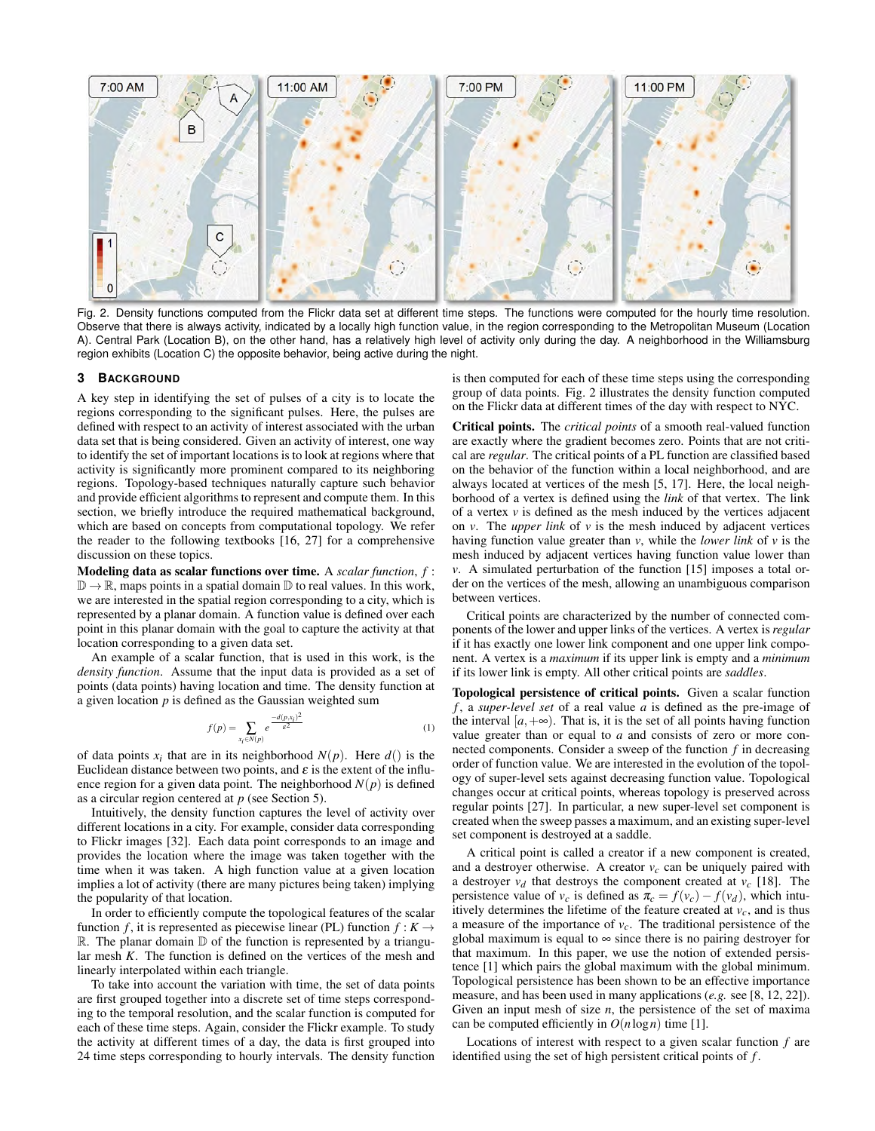

<span id="page-2-0"></span>Fig. 2. Density functions computed from the Flickr data set at different time steps. The functions were computed for the hourly time resolution. Observe that there is always activity, indicated by a locally high function value, in the region corresponding to the Metropolitan Museum (Location A). Central Park (Location B), on the other hand, has a relatively high level of activity only during the day. A neighborhood in the Williamsburg region exhibits (Location C) the opposite behavior, being active during the night.

#### <span id="page-2-1"></span>**3 BACKGROUND**

A key step in identifying the set of pulses of a city is to locate the regions corresponding to the significant pulses. Here, the pulses are defined with respect to an activity of interest associated with the urban data set that is being considered. Given an activity of interest, one way to identify the set of important locations is to look at regions where that activity is significantly more prominent compared to its neighboring regions. Topology-based techniques naturally capture such behavior and provide efficient algorithms to represent and compute them. In this section, we briefly introduce the required mathematical background, which are based on concepts from computational topology. We refer the reader to the following textbooks [\[16,](#page-9-38) [27\]](#page-9-39) for a comprehensive discussion on these topics.

Modeling data as scalar functions over time. A *scalar function*, *f* :  $\mathbb{D} \to \mathbb{R}$ , maps points in a spatial domain  $\mathbb{D}$  to real values. In this work, we are interested in the spatial region corresponding to a city, which is represented by a planar domain. A function value is defined over each point in this planar domain with the goal to capture the activity at that location corresponding to a given data set.

An example of a scalar function, that is used in this work, is the *density function*. Assume that the input data is provided as a set of points (data points) having location and time. The density function at a given location *p* is defined as the Gaussian weighted sum

$$
f(p) = \sum_{x_i \in N(p)} e^{\frac{-d(p,x_i)^2}{\varepsilon^2}} \tag{1}
$$

of data points  $x_i$  that are in its neighborhood  $N(p)$ . Here  $d()$  is the Euclidean distance between two points, and  $\varepsilon$  is the extent of the influence region for a given data point. The neighborhood  $N(p)$  is defined as a circular region centered at *p* (see Section [5\)](#page-4-0).

Intuitively, the density function captures the level of activity over different locations in a city. For example, consider data corresponding to Flickr images [\[32\]](#page-9-5). Each data point corresponds to an image and provides the location where the image was taken together with the time when it was taken. A high function value at a given location implies a lot of activity (there are many pictures being taken) implying the popularity of that location.

In order to efficiently compute the topological features of the scalar function *f*, it is represented as piecewise linear (PL) function  $f : K \to$  $\mathbb R$ . The planar domain  $\mathbb D$  of the function is represented by a triangular mesh *K*. The function is defined on the vertices of the mesh and linearly interpolated within each triangle.

To take into account the variation with time, the set of data points are first grouped together into a discrete set of time steps corresponding to the temporal resolution, and the scalar function is computed for each of these time steps. Again, consider the Flickr example. To study the activity at different times of a day, the data is first grouped into 24 time steps corresponding to hourly intervals. The density function is then computed for each of these time steps using the corresponding group of data points. Fig. [2](#page-2-0) illustrates the density function computed on the Flickr data at different times of the day with respect to NYC.

Critical points. The *critical points* of a smooth real-valued function are exactly where the gradient becomes zero. Points that are not critical are *regular*. The critical points of a PL function are classified based on the behavior of the function within a local neighborhood, and are always located at vertices of the mesh [\[5,](#page-9-40) [17\]](#page-9-41). Here, the local neighborhood of a vertex is defined using the *link* of that vertex. The link of a vertex  $v$  is defined as the mesh induced by the vertices adjacent on  $\nu$ . The *upper link* of  $\nu$  is the mesh induced by adjacent vertices having function value greater than *v*, while the *lower link* of *v* is the mesh induced by adjacent vertices having function value lower than *v*. A simulated perturbation of the function [\[15\]](#page-9-42) imposes a total order on the vertices of the mesh, allowing an unambiguous comparison between vertices.

Critical points are characterized by the number of connected components of the lower and upper links of the vertices. A vertex is *regular* if it has exactly one lower link component and one upper link component. A vertex is a *maximum* if its upper link is empty and a *minimum* if its lower link is empty. All other critical points are *saddles*.

Topological persistence of critical points. Given a scalar function *f* , a *super-level set* of a real value *a* is defined as the pre-image of the interval  $[a, +\infty)$ . That is, it is the set of all points having function value greater than or equal to *a* and consists of zero or more connected components. Consider a sweep of the function *f* in decreasing order of function value. We are interested in the evolution of the topology of super-level sets against decreasing function value. Topological changes occur at critical points, whereas topology is preserved across regular points [\[27\]](#page-9-39). In particular, a new super-level set component is created when the sweep passes a maximum, and an existing super-level set component is destroyed at a saddle.

A critical point is called a creator if a new component is created, and a destroyer otherwise. A creator  $v_c$  can be uniquely paired with a destroyer  $v_d$  that destroys the component created at  $v_c$  [\[18\]](#page-9-43). The persistence value of  $v_c$  is defined as  $\pi_c = f(v_c) - f(v_d)$ , which intuitively determines the lifetime of the feature created at  $v_c$ , and is thus a measure of the importance of *vc*. The traditional persistence of the global maximum is equal to  $\infty$  since there is no pairing destroyer for that maximum. In this paper, we use the notion of extended persistence [\[1\]](#page-9-44) which pairs the global maximum with the global minimum. Topological persistence has been shown to be an effective importance measure, and has been used in many applications (*e.g.* see [\[8,](#page-9-45) [12,](#page-9-46) [22\]](#page-9-47)). Given an input mesh of size *n*, the persistence of the set of maxima can be computed efficiently in  $O(n \log n)$  time [\[1\]](#page-9-44).

Locations of interest with respect to a given scalar function *f* are identified using the set of high persistent critical points of *f* .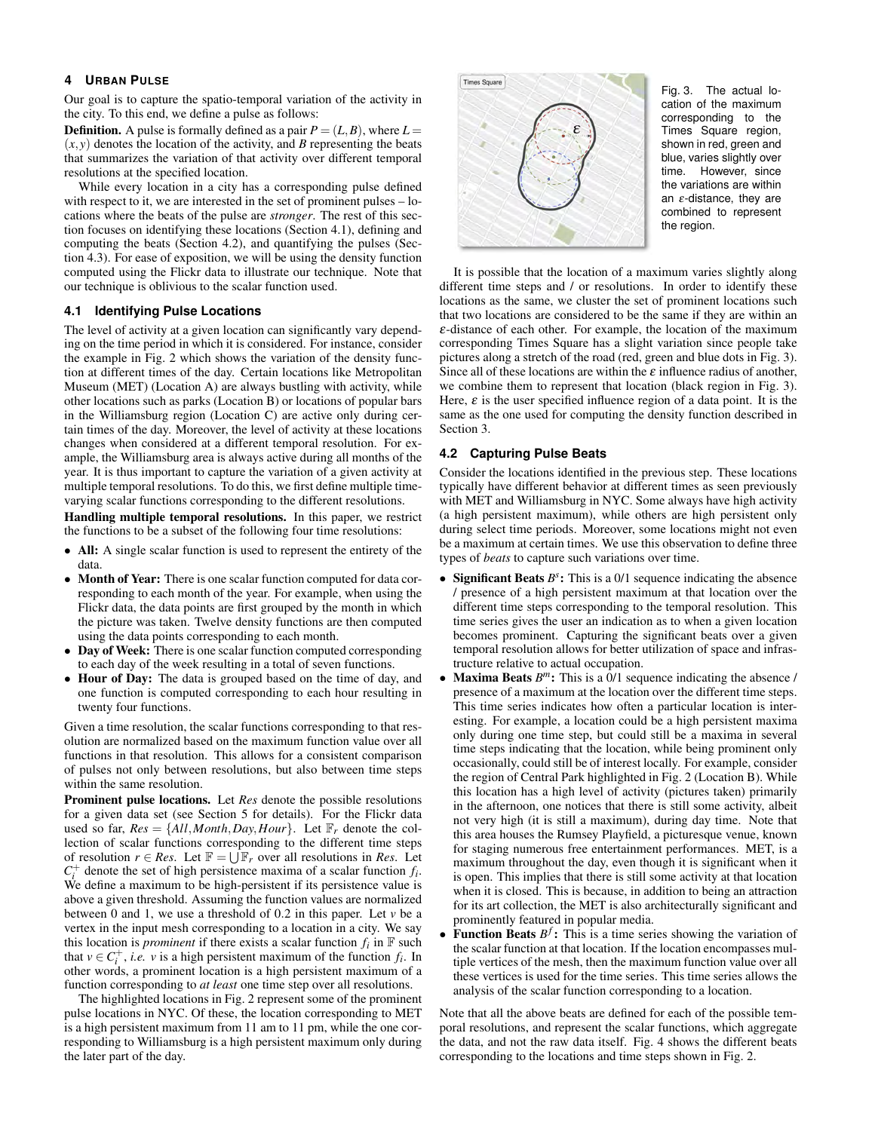# **4 URBAN PULSE**

Our goal is to capture the spatio-temporal variation of the activity in the city. To this end, we define a pulse as follows:

**Definition.** A pulse is formally defined as a pair  $P = (L, B)$ , where  $L =$  $(x, y)$  denotes the location of the activity, and *B* representing the beats that summarizes the variation of that activity over different temporal resolutions at the specified location.

While every location in a city has a corresponding pulse defined with respect to it, we are interested in the set of prominent pulses – locations where the beats of the pulse are *stronger*. The rest of this section focuses on identifying these locations (Section [4.1\)](#page-3-1), defining and computing the beats (Section [4.2\)](#page-3-0), and quantifying the pulses (Section [4.3\)](#page-4-1). For ease of exposition, we will be using the density function computed using the Flickr data to illustrate our technique. Note that our technique is oblivious to the scalar function used.

#### <span id="page-3-1"></span>**4.1 Identifying Pulse Locations**

The level of activity at a given location can significantly vary depending on the time period in which it is considered. For instance, consider the example in Fig. [2](#page-2-0) which shows the variation of the density function at different times of the day. Certain locations like Metropolitan Museum (MET) (Location A) are always bustling with activity, while other locations such as parks (Location B) or locations of popular bars in the Williamsburg region (Location C) are active only during certain times of the day. Moreover, the level of activity at these locations changes when considered at a different temporal resolution. For example, the Williamsburg area is always active during all months of the year. It is thus important to capture the variation of a given activity at multiple temporal resolutions. To do this, we first define multiple timevarying scalar functions corresponding to the different resolutions.

Handling multiple temporal resolutions. In this paper, we restrict the functions to be a subset of the following four time resolutions:

- All: A single scalar function is used to represent the entirety of the data.
- Month of Year: There is one scalar function computed for data corresponding to each month of the year. For example, when using the Flickr data, the data points are first grouped by the month in which the picture was taken. Twelve density functions are then computed using the data points corresponding to each month.
- Day of Week: There is one scalar function computed corresponding to each day of the week resulting in a total of seven functions.
- Hour of Day: The data is grouped based on the time of day, and one function is computed corresponding to each hour resulting in twenty four functions.

Given a time resolution, the scalar functions corresponding to that resolution are normalized based on the maximum function value over all functions in that resolution. This allows for a consistent comparison of pulses not only between resolutions, but also between time steps within the same resolution.

Prominent pulse locations. Let *Res* denote the possible resolutions for a given data set (see Section [5](#page-4-0) for details). For the Flickr data used so far,  $Res = \{All, Month, Day, Hour\}$ . Let  $\mathbb{F}_r$  denote the collection of scalar functions corresponding to the different time steps of resolution  $r \in Res$ . Let  $\mathbb{F} = \bigcup \mathbb{F}_r$  over all resolutions in *Res*. Let  $C_i^+$  denote the set of high persistence maxima of a scalar function  $f_i$ . We define a maximum to be high-persistent if its persistence value is above a given threshold. Assuming the function values are normalized between 0 and 1, we use a threshold of 0.2 in this paper. Let *v* be a vertex in the input mesh corresponding to a location in a city. We say this location is *prominent* if there exists a scalar function  $f_i$  in  $\mathbb F$  such that  $v \in C_i^+$ , *i.e. v* is a high persistent maximum of the function  $f_i$ . In other words, a prominent location is a high persistent maximum of a function corresponding to *at least* one time step over all resolutions.

The highlighted locations in Fig. [2](#page-2-0) represent some of the prominent pulse locations in NYC. Of these, the location corresponding to MET is a high persistent maximum from 11 am to 11 pm, while the one corresponding to Williamsburg is a high persistent maximum only during the later part of the day.



<span id="page-3-2"></span>Fig. 3. The actual location of the maximum corresponding to the Times Square region, shown in red, green and blue, varies slightly over time. However, since the variations are within an  $\varepsilon$ -distance, they are combined to represent the region.

It is possible that the location of a maximum varies slightly along different time steps and / or resolutions. In order to identify these locations as the same, we cluster the set of prominent locations such that two locations are considered to be the same if they are within an  $\varepsilon$ -distance of each other. For example, the location of the maximum corresponding Times Square has a slight variation since people take pictures along a stretch of the road (red, green and blue dots in Fig. [3\)](#page-3-2). Since all of these locations are within the  $\varepsilon$  influence radius of another, we combine them to represent that location (black region in Fig. [3\)](#page-3-2). Here,  $\varepsilon$  is the user specified influence region of a data point. It is the same as the one used for computing the density function described in Section [3.](#page-2-1)

## <span id="page-3-0"></span>**4.2 Capturing Pulse Beats**

Consider the locations identified in the previous step. These locations typically have different behavior at different times as seen previously with MET and Williamsburg in NYC. Some always have high activity (a high persistent maximum), while others are high persistent only during select time periods. Moreover, some locations might not even be a maximum at certain times. We use this observation to define three types of *beats* to capture such variations over time.

- Significant Beats  $B^s$ : This is a 0/1 sequence indicating the absence / presence of a high persistent maximum at that location over the different time steps corresponding to the temporal resolution. This time series gives the user an indication as to when a given location becomes prominent. Capturing the significant beats over a given temporal resolution allows for better utilization of space and infrastructure relative to actual occupation.
- Maxima Beats  $B^m$ : This is a  $0/1$  sequence indicating the absence / presence of a maximum at the location over the different time steps. This time series indicates how often a particular location is interesting. For example, a location could be a high persistent maxima only during one time step, but could still be a maxima in several time steps indicating that the location, while being prominent only occasionally, could still be of interest locally. For example, consider the region of Central Park highlighted in Fig. [2](#page-2-0) (Location B). While this location has a high level of activity (pictures taken) primarily in the afternoon, one notices that there is still some activity, albeit not very high (it is still a maximum), during day time. Note that this area houses the Rumsey Playfield, a picturesque venue, known for staging numerous free entertainment performances. MET, is a maximum throughout the day, even though it is significant when it is open. This implies that there is still some activity at that location when it is closed. This is because, in addition to being an attraction for its art collection, the MET is also architecturally significant and prominently featured in popular media.
- Function Beats  $B^f$ : This is a time series showing the variation of the scalar function at that location. If the location encompasses multiple vertices of the mesh, then the maximum function value over all these vertices is used for the time series. This time series allows the analysis of the scalar function corresponding to a location.

Note that all the above beats are defined for each of the possible temporal resolutions, and represent the scalar functions, which aggregate the data, and not the raw data itself. Fig. [4](#page-4-2) shows the different beats corresponding to the locations and time steps shown in Fig. [2.](#page-2-0)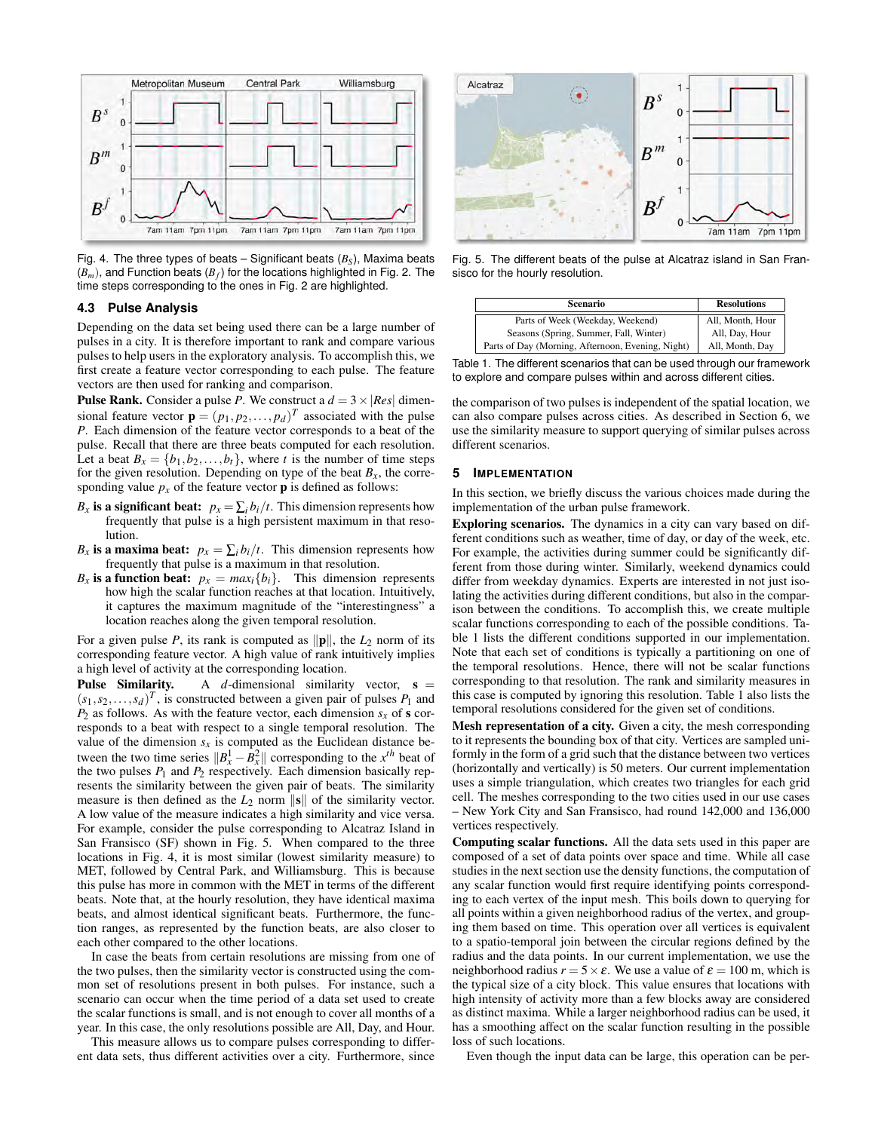

<span id="page-4-2"></span>Fig. 4. The three types of beats – Significant beats  $(B<sub>S</sub>)$ , Maxima beats  $(B_m)$ , and Function beats  $(B_f)$  for the locations highlighted in Fig. [2.](#page-2-0) The time steps corresponding to the ones in Fig. [2](#page-2-0) are highlighted.

## <span id="page-4-1"></span>**4.3 Pulse Analysis**

Depending on the data set being used there can be a large number of pulses in a city. It is therefore important to rank and compare various pulses to help users in the exploratory analysis. To accomplish this, we first create a feature vector corresponding to each pulse. The feature vectors are then used for ranking and comparison.

**Pulse Rank.** Consider a pulse *P*. We construct a  $d = 3 \times |Res|$  dimensional feature vector  $\mathbf{p} = (p_1, p_2, \dots, p_d)^T$  associated with the pulse *P*. Each dimension of the feature vector corresponds to a beat of the pulse. Recall that there are three beats computed for each resolution. Let a beat  $B_x = \{b_1, b_2, \ldots, b_t\}$ , where *t* is the number of time steps for the given resolution. Depending on type of the beat  $B<sub>x</sub>$ , the corresponding value  $p_x$  of the feature vector **p** is defined as follows:

- *B*<sub>*x*</sub> is a significant beat:  $p_x = \sum_i b_i / t$ . This dimension represents how frequently that pulse is a high persistent maximum in that resolution.
- *B*<sup>*x*</sup> is a maxima beat:  $p_x = \sum_i b_i / t$ . This dimension represents how frequently that pulse is a maximum in that resolution.
- $B_x$  is a function beat:  $p_x = max_i \{b_i\}$ . This dimension represents how high the scalar function reaches at that location. Intuitively, it captures the maximum magnitude of the "interestingness" a location reaches along the given temporal resolution.

For a given pulse *P*, its rank is computed as  $\|\mathbf{p}\|$ , the  $L_2$  norm of its corresponding feature vector. A high value of rank intuitively implies a high level of activity at the corresponding location.

Pulse Similarity. A *d*-dimensional similarity vector, s =  $(s_1, s_2, \ldots, s_d)^T$ , is constructed between a given pair of pulses  $P_1$  and  $P_2$  as follows. As with the feature vector, each dimension  $s_x$  of **s** corresponds to a beat with respect to a single temporal resolution. The value of the dimension  $s_x$  is computed as the Euclidean distance between the two time series  $||B_x^1 - \overline{B}_x^2||$  corresponding to the  $x^{th}$  beat of the two pulses  $P_1$  and  $P_2$  respectively. Each dimension basically represents the similarity between the given pair of beats. The similarity measure is then defined as the  $L_2$  norm  $\|\mathbf{s}\|$  of the similarity vector. A low value of the measure indicates a high similarity and vice versa. For example, consider the pulse corresponding to Alcatraz Island in San Fransisco (SF) shown in Fig. [5.](#page-4-3) When compared to the three locations in Fig. [4,](#page-4-2) it is most similar (lowest similarity measure) to MET, followed by Central Park, and Williamsburg. This is because this pulse has more in common with the MET in terms of the different beats. Note that, at the hourly resolution, they have identical maxima beats, and almost identical significant beats. Furthermore, the function ranges, as represented by the function beats, are also closer to each other compared to the other locations.

In case the beats from certain resolutions are missing from one of the two pulses, then the similarity vector is constructed using the common set of resolutions present in both pulses. For instance, such a scenario can occur when the time period of a data set used to create the scalar functions is small, and is not enough to cover all months of a year. In this case, the only resolutions possible are All, Day, and Hour.

This measure allows us to compare pulses corresponding to different data sets, thus different activities over a city. Furthermore, since



<span id="page-4-3"></span>Fig. 5. The different beats of the pulse at Alcatraz island in San Fransisco for the hourly resolution.

| Scenario                                          | <b>Resolutions</b> |
|---------------------------------------------------|--------------------|
| Parts of Week (Weekday, Weekend)                  | All, Month, Hour   |
| Seasons (Spring, Summer, Fall, Winter)            | All, Day, Hour     |
| Parts of Day (Morning, Afternoon, Evening, Night) | All, Month, Day    |

<span id="page-4-4"></span>Table 1. The different scenarios that can be used through our framework to explore and compare pulses within and across different cities.

the comparison of two pulses is independent of the spatial location, we can also compare pulses across cities. As described in Section [6,](#page-5-0) we use the similarity measure to support querying of similar pulses across different scenarios.

#### <span id="page-4-0"></span>**5 IMPLEMENTATION**

In this section, we briefly discuss the various choices made during the implementation of the urban pulse framework.

Exploring scenarios. The dynamics in a city can vary based on different conditions such as weather, time of day, or day of the week, etc. For example, the activities during summer could be significantly different from those during winter. Similarly, weekend dynamics could differ from weekday dynamics. Experts are interested in not just isolating the activities during different conditions, but also in the comparison between the conditions. To accomplish this, we create multiple scalar functions corresponding to each of the possible conditions. Table [1](#page-4-4) lists the different conditions supported in our implementation. Note that each set of conditions is typically a partitioning on one of the temporal resolutions. Hence, there will not be scalar functions corresponding to that resolution. The rank and similarity measures in this case is computed by ignoring this resolution. Table [1](#page-4-4) also lists the temporal resolutions considered for the given set of conditions.

Mesh representation of a city. Given a city, the mesh corresponding to it represents the bounding box of that city. Vertices are sampled uniformly in the form of a grid such that the distance between two vertices (horizontally and vertically) is 50 meters. Our current implementation uses a simple triangulation, which creates two triangles for each grid cell. The meshes corresponding to the two cities used in our use cases – New York City and San Fransisco, had round 142,000 and 136,000 vertices respectively.

Computing scalar functions. All the data sets used in this paper are composed of a set of data points over space and time. While all case studies in the next section use the density functions, the computation of any scalar function would first require identifying points corresponding to each vertex of the input mesh. This boils down to querying for all points within a given neighborhood radius of the vertex, and grouping them based on time. This operation over all vertices is equivalent to a spatio-temporal join between the circular regions defined by the radius and the data points. In our current implementation, we use the neighborhood radius  $r = 5 \times \varepsilon$ . We use a value of  $\varepsilon = 100$  m, which is the typical size of a city block. This value ensures that locations with high intensity of activity more than a few blocks away are considered as distinct maxima. While a larger neighborhood radius can be used, it has a smoothing affect on the scalar function resulting in the possible loss of such locations.

Even though the input data can be large, this operation can be per-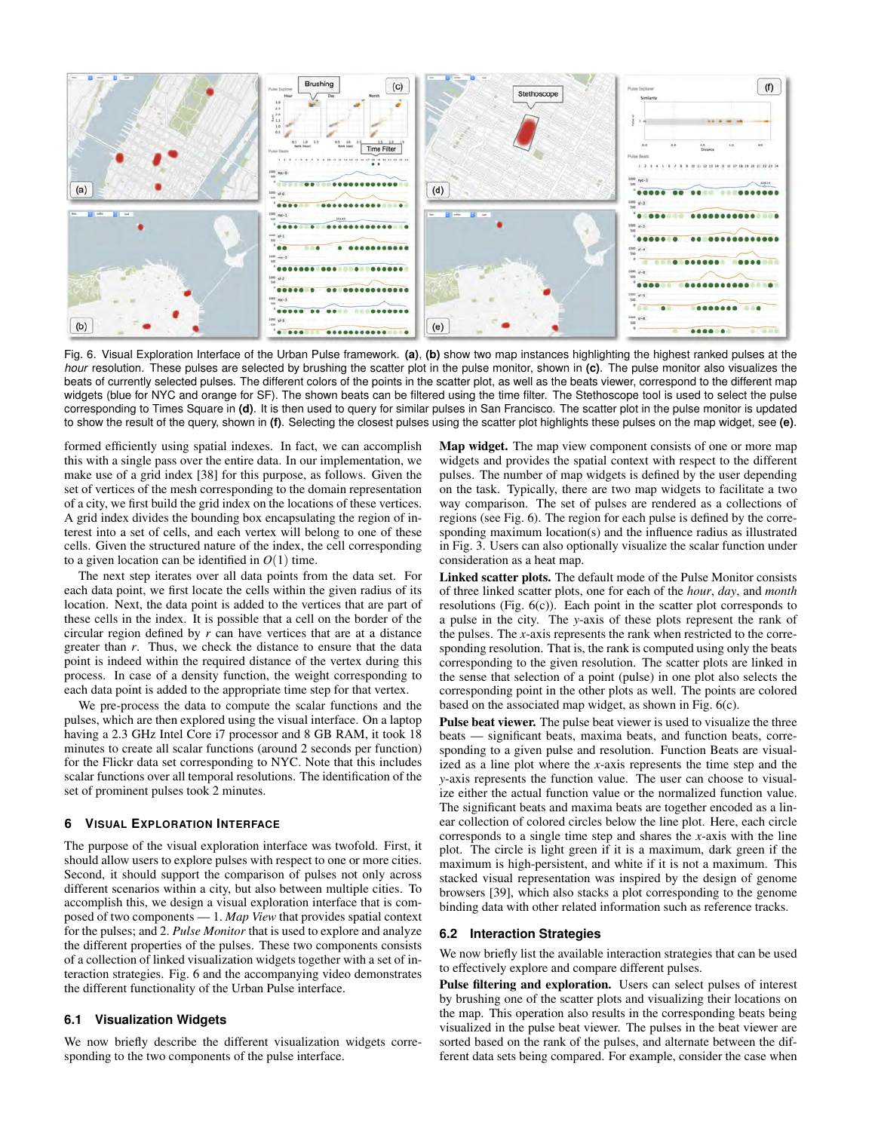

<span id="page-5-1"></span>Fig. 6. Visual Exploration Interface of the Urban Pulse framework. **(a)**, **(b)** show two map instances highlighting the highest ranked pulses at the *hour* resolution. These pulses are selected by brushing the scatter plot in the pulse monitor, shown in **(c)**. The pulse monitor also visualizes the beats of currently selected pulses. The different colors of the points in the scatter plot, as well as the beats viewer, correspond to the different map widgets (blue for NYC and orange for SF). The shown beats can be filtered using the time filter. The Stethoscope tool is used to select the pulse corresponding to Times Square in **(d)**. It is then used to query for similar pulses in San Francisco. The scatter plot in the pulse monitor is updated to show the result of the query, shown in **(f)**. Selecting the closest pulses using the scatter plot highlights these pulses on the map widget, see **(e)**.

formed efficiently using spatial indexes. In fact, we can accomplish this with a single pass over the entire data. In our implementation, we make use of a grid index [\[38\]](#page-9-48) for this purpose, as follows. Given the set of vertices of the mesh corresponding to the domain representation of a city, we first build the grid index on the locations of these vertices. A grid index divides the bounding box encapsulating the region of interest into a set of cells, and each vertex will belong to one of these cells. Given the structured nature of the index, the cell corresponding to a given location can be identified in  $O(1)$  time.

The next step iterates over all data points from the data set. For each data point, we first locate the cells within the given radius of its location. Next, the data point is added to the vertices that are part of these cells in the index. It is possible that a cell on the border of the circular region defined by *r* can have vertices that are at a distance greater than *r*. Thus, we check the distance to ensure that the data point is indeed within the required distance of the vertex during this process. In case of a density function, the weight corresponding to each data point is added to the appropriate time step for that vertex.

We pre-process the data to compute the scalar functions and the pulses, which are then explored using the visual interface. On a laptop having a 2.3 GHz Intel Core i7 processor and 8 GB RAM, it took 18 minutes to create all scalar functions (around 2 seconds per function) for the Flickr data set corresponding to NYC. Note that this includes scalar functions over all temporal resolutions. The identification of the set of prominent pulses took 2 minutes.

#### <span id="page-5-0"></span>**6 VISUAL EXPLORATION INTERFACE**

The purpose of the visual exploration interface was twofold. First, it should allow users to explore pulses with respect to one or more cities. Second, it should support the comparison of pulses not only across different scenarios within a city, but also between multiple cities. To accomplish this, we design a visual exploration interface that is composed of two components — 1. *Map View* that provides spatial context for the pulses; and 2. *Pulse Monitor* that is used to explore and analyze the different properties of the pulses. These two components consists of a collection of linked visualization widgets together with a set of interaction strategies. Fig. [6](#page-5-1) and the accompanying video demonstrates the different functionality of the Urban Pulse interface.

### **6.1 Visualization Widgets**

We now briefly describe the different visualization widgets corresponding to the two components of the pulse interface.

Map widget. The map view component consists of one or more map widgets and provides the spatial context with respect to the different pulses. The number of map widgets is defined by the user depending on the task. Typically, there are two map widgets to facilitate a two way comparison. The set of pulses are rendered as a collections of regions (see Fig. [6\)](#page-5-1). The region for each pulse is defined by the corresponding maximum location(s) and the influence radius as illustrated in Fig. [3.](#page-3-2) Users can also optionally visualize the scalar function under consideration as a heat map.

Linked scatter plots. The default mode of the Pulse Monitor consists of three linked scatter plots, one for each of the *hour*, *day*, and *month* resolutions (Fig. [6\(](#page-5-1)c)). Each point in the scatter plot corresponds to a pulse in the city. The *y*-axis of these plots represent the rank of the pulses. The *x*-axis represents the rank when restricted to the corresponding resolution. That is, the rank is computed using only the beats corresponding to the given resolution. The scatter plots are linked in the sense that selection of a point (pulse) in one plot also selects the corresponding point in the other plots as well. The points are colored based on the associated map widget, as shown in Fig. [6\(](#page-5-1)c).

Pulse beat viewer. The pulse beat viewer is used to visualize the three beats — significant beats, maxima beats, and function beats, corresponding to a given pulse and resolution. Function Beats are visualized as a line plot where the *x*-axis represents the time step and the *y*-axis represents the function value. The user can choose to visualize either the actual function value or the normalized function value. The significant beats and maxima beats are together encoded as a linear collection of colored circles below the line plot. Here, each circle corresponds to a single time step and shares the *x*-axis with the line plot. The circle is light green if it is a maximum, dark green if the maximum is high-persistent, and white if it is not a maximum. This stacked visual representation was inspired by the design of genome browsers [\[39\]](#page-9-49), which also stacks a plot corresponding to the genome binding data with other related information such as reference tracks.

#### **6.2 Interaction Strategies**

We now briefly list the available interaction strategies that can be used to effectively explore and compare different pulses.

Pulse filtering and exploration. Users can select pulses of interest by brushing one of the scatter plots and visualizing their locations on the map. This operation also results in the corresponding beats being visualized in the pulse beat viewer. The pulses in the beat viewer are sorted based on the rank of the pulses, and alternate between the different data sets being compared. For example, consider the case when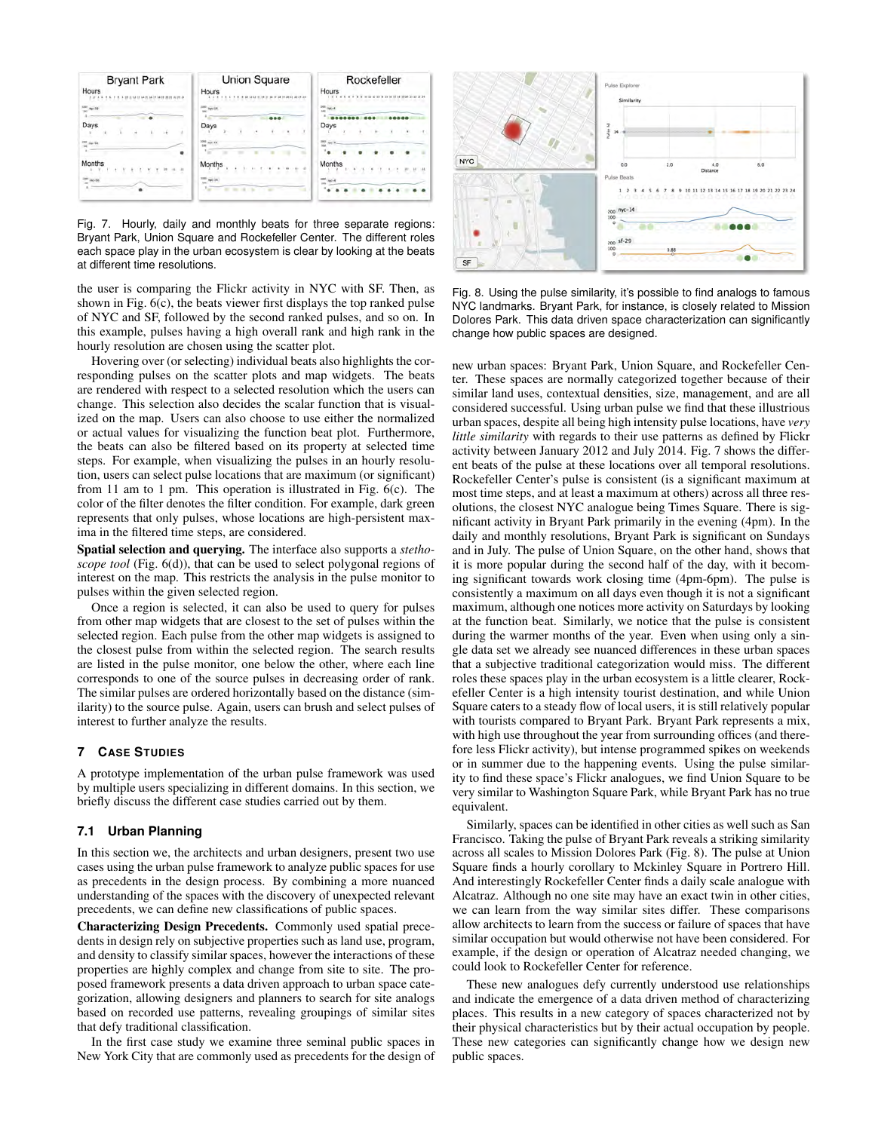

<span id="page-6-0"></span>Fig. 7. Hourly, daily and monthly beats for three separate regions: Bryant Park, Union Square and Rockefeller Center. The different roles each space play in the urban ecosystem is clear by looking at the beats at different time resolutions.

the user is comparing the Flickr activity in NYC with SF. Then, as shown in Fig. [6\(](#page-5-1)c), the beats viewer first displays the top ranked pulse of NYC and SF, followed by the second ranked pulses, and so on. In this example, pulses having a high overall rank and high rank in the hourly resolution are chosen using the scatter plot.

Hovering over (or selecting) individual beats also highlights the corresponding pulses on the scatter plots and map widgets. The beats are rendered with respect to a selected resolution which the users can change. This selection also decides the scalar function that is visualized on the map. Users can also choose to use either the normalized or actual values for visualizing the function beat plot. Furthermore, the beats can also be filtered based on its property at selected time steps. For example, when visualizing the pulses in an hourly resolution, users can select pulse locations that are maximum (or significant) from 11 am to 1 pm. This operation is illustrated in Fig. [6\(](#page-5-1)c). The color of the filter denotes the filter condition. For example, dark green represents that only pulses, whose locations are high-persistent maxima in the filtered time steps, are considered.

Spatial selection and querying. The interface also supports a *stethoscope tool* (Fig. [6\(](#page-5-1)d)), that can be used to select polygonal regions of interest on the map. This restricts the analysis in the pulse monitor to pulses within the given selected region.

Once a region is selected, it can also be used to query for pulses from other map widgets that are closest to the set of pulses within the selected region. Each pulse from the other map widgets is assigned to the closest pulse from within the selected region. The search results are listed in the pulse monitor, one below the other, where each line corresponds to one of the source pulses in decreasing order of rank. The similar pulses are ordered horizontally based on the distance (similarity) to the source pulse. Again, users can brush and select pulses of interest to further analyze the results.

# **7 CASE STUDIES**

A prototype implementation of the urban pulse framework was used by multiple users specializing in different domains. In this section, we briefly discuss the different case studies carried out by them.

#### **7.1 Urban Planning**

In this section we, the architects and urban designers, present two use cases using the urban pulse framework to analyze public spaces for use as precedents in the design process. By combining a more nuanced understanding of the spaces with the discovery of unexpected relevant precedents, we can define new classifications of public spaces.

Characterizing Design Precedents. Commonly used spatial precedents in design rely on subjective properties such as land use, program, and density to classify similar spaces, however the interactions of these properties are highly complex and change from site to site. The proposed framework presents a data driven approach to urban space categorization, allowing designers and planners to search for site analogs based on recorded use patterns, revealing groupings of similar sites that defy traditional classification.

In the first case study we examine three seminal public spaces in New York City that are commonly used as precedents for the design of



<span id="page-6-1"></span>Fig. 8. Using the pulse similarity, it's possible to find analogs to famous NYC landmarks. Bryant Park, for instance, is closely related to Mission Dolores Park. This data driven space characterization can significantly change how public spaces are designed.

new urban spaces: Bryant Park, Union Square, and Rockefeller Center. These spaces are normally categorized together because of their similar land uses, contextual densities, size, management, and are all considered successful. Using urban pulse we find that these illustrious urban spaces, despite all being high intensity pulse locations, have *very little similarity* with regards to their use patterns as defined by Flickr activity between January 2012 and July 2014. Fig. [7](#page-6-0) shows the different beats of the pulse at these locations over all temporal resolutions. Rockefeller Center's pulse is consistent (is a significant maximum at most time steps, and at least a maximum at others) across all three resolutions, the closest NYC analogue being Times Square. There is significant activity in Bryant Park primarily in the evening (4pm). In the daily and monthly resolutions, Bryant Park is significant on Sundays and in July. The pulse of Union Square, on the other hand, shows that it is more popular during the second half of the day, with it becoming significant towards work closing time (4pm-6pm). The pulse is consistently a maximum on all days even though it is not a significant maximum, although one notices more activity on Saturdays by looking at the function beat. Similarly, we notice that the pulse is consistent during the warmer months of the year. Even when using only a single data set we already see nuanced differences in these urban spaces that a subjective traditional categorization would miss. The different roles these spaces play in the urban ecosystem is a little clearer, Rockefeller Center is a high intensity tourist destination, and while Union Square caters to a steady flow of local users, it is still relatively popular with tourists compared to Bryant Park. Bryant Park represents a mix, with high use throughout the year from surrounding offices (and therefore less Flickr activity), but intense programmed spikes on weekends or in summer due to the happening events. Using the pulse similarity to find these space's Flickr analogues, we find Union Square to be very similar to Washington Square Park, while Bryant Park has no true equivalent.

Similarly, spaces can be identified in other cities as well such as San Francisco. Taking the pulse of Bryant Park reveals a striking similarity across all scales to Mission Dolores Park (Fig. [8\)](#page-6-1). The pulse at Union Square finds a hourly corollary to Mckinley Square in Portrero Hill. And interestingly Rockefeller Center finds a daily scale analogue with Alcatraz. Although no one site may have an exact twin in other cities, we can learn from the way similar sites differ. These comparisons allow architects to learn from the success or failure of spaces that have similar occupation but would otherwise not have been considered. For example, if the design or operation of Alcatraz needed changing, we could look to Rockefeller Center for reference.

These new analogues defy currently understood use relationships and indicate the emergence of a data driven method of characterizing places. This results in a new category of spaces characterized not by their physical characteristics but by their actual occupation by people. These new categories can significantly change how we design new public spaces.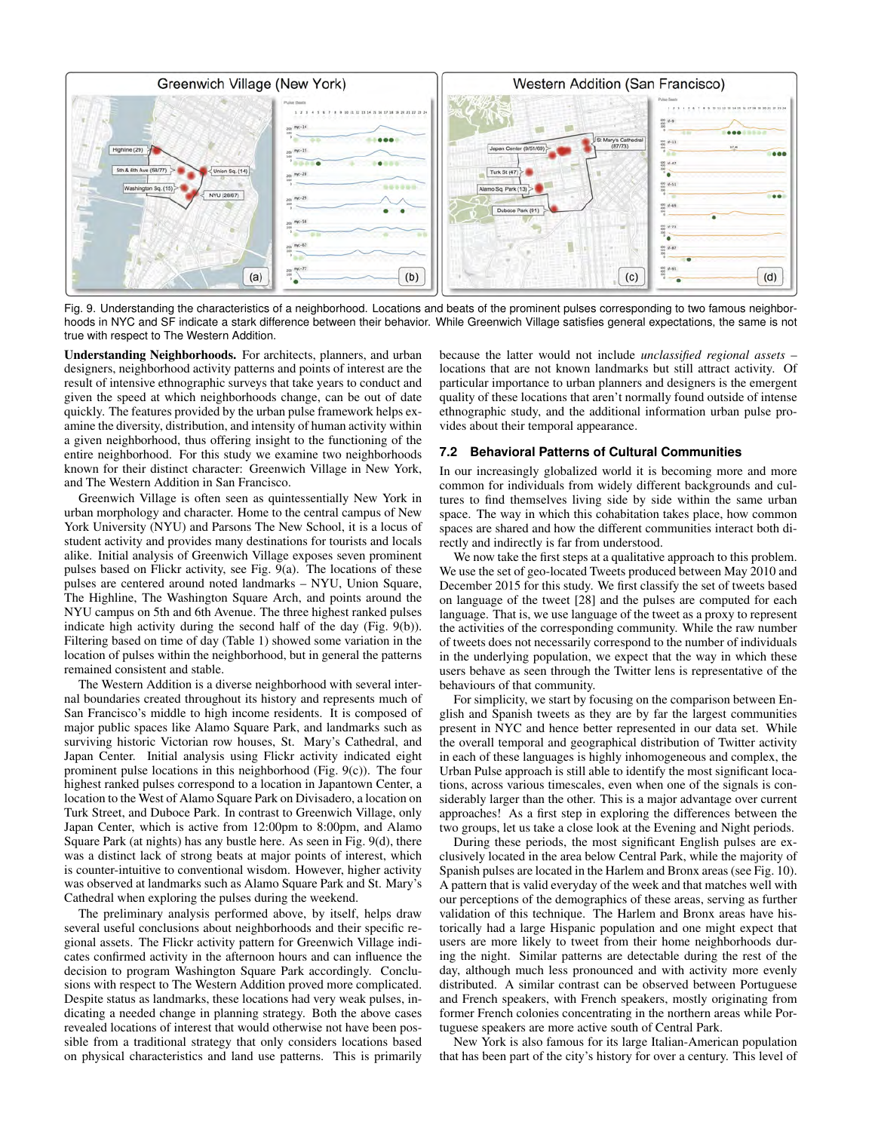

<span id="page-7-0"></span>Fig. 9. Understanding the characteristics of a neighborhood. Locations and beats of the prominent pulses corresponding to two famous neighborhoods in NYC and SF indicate a stark difference between their behavior. While Greenwich Village satisfies general expectations, the same is not true with respect to The Western Addition.

Understanding Neighborhoods. For architects, planners, and urban designers, neighborhood activity patterns and points of interest are the result of intensive ethnographic surveys that take years to conduct and given the speed at which neighborhoods change, can be out of date quickly. The features provided by the urban pulse framework helps examine the diversity, distribution, and intensity of human activity within a given neighborhood, thus offering insight to the functioning of the entire neighborhood. For this study we examine two neighborhoods known for their distinct character: Greenwich Village in New York, and The Western Addition in San Francisco.

Greenwich Village is often seen as quintessentially New York in urban morphology and character. Home to the central campus of New York University (NYU) and Parsons The New School, it is a locus of student activity and provides many destinations for tourists and locals alike. Initial analysis of Greenwich Village exposes seven prominent pulses based on Flickr activity, see Fig. [9\(](#page-7-0)a). The locations of these pulses are centered around noted landmarks – NYU, Union Square, The Highline, The Washington Square Arch, and points around the NYU campus on 5th and 6th Avenue. The three highest ranked pulses indicate high activity during the second half of the day (Fig. [9\(](#page-7-0)b)). Filtering based on time of day (Table [1\)](#page-4-4) showed some variation in the location of pulses within the neighborhood, but in general the patterns remained consistent and stable.

The Western Addition is a diverse neighborhood with several internal boundaries created throughout its history and represents much of San Francisco's middle to high income residents. It is composed of major public spaces like Alamo Square Park, and landmarks such as surviving historic Victorian row houses, St. Mary's Cathedral, and Japan Center. Initial analysis using Flickr activity indicated eight prominent pulse locations in this neighborhood (Fig. [9\(](#page-7-0)c)). The four highest ranked pulses correspond to a location in Japantown Center, a location to the West of Alamo Square Park on Divisadero, a location on Turk Street, and Duboce Park. In contrast to Greenwich Village, only Japan Center, which is active from 12:00pm to 8:00pm, and Alamo Square Park (at nights) has any bustle here. As seen in Fig. [9\(](#page-7-0)d), there was a distinct lack of strong beats at major points of interest, which is counter-intuitive to conventional wisdom. However, higher activity was observed at landmarks such as Alamo Square Park and St. Mary's Cathedral when exploring the pulses during the weekend.

The preliminary analysis performed above, by itself, helps draw several useful conclusions about neighborhoods and their specific regional assets. The Flickr activity pattern for Greenwich Village indicates confirmed activity in the afternoon hours and can influence the decision to program Washington Square Park accordingly. Conclusions with respect to The Western Addition proved more complicated. Despite status as landmarks, these locations had very weak pulses, indicating a needed change in planning strategy. Both the above cases revealed locations of interest that would otherwise not have been possible from a traditional strategy that only considers locations based on physical characteristics and land use patterns. This is primarily

because the latter would not include *unclassified regional assets* – locations that are not known landmarks but still attract activity. Of particular importance to urban planners and designers is the emergent quality of these locations that aren't normally found outside of intense ethnographic study, and the additional information urban pulse provides about their temporal appearance.

## **7.2 Behavioral Patterns of Cultural Communities**

In our increasingly globalized world it is becoming more and more common for individuals from widely different backgrounds and cultures to find themselves living side by side within the same urban space. The way in which this cohabitation takes place, how common spaces are shared and how the different communities interact both directly and indirectly is far from understood.

We now take the first steps at a qualitative approach to this problem. We use the set of geo-located Tweets produced between May 2010 and December 2015 for this study. We first classify the set of tweets based on language of the tweet [\[28\]](#page-9-50) and the pulses are computed for each language. That is, we use language of the tweet as a proxy to represent the activities of the corresponding community. While the raw number of tweets does not necessarily correspond to the number of individuals in the underlying population, we expect that the way in which these users behave as seen through the Twitter lens is representative of the behaviours of that community.

For simplicity, we start by focusing on the comparison between English and Spanish tweets as they are by far the largest communities present in NYC and hence better represented in our data set. While the overall temporal and geographical distribution of Twitter activity in each of these languages is highly inhomogeneous and complex, the Urban Pulse approach is still able to identify the most significant locations, across various timescales, even when one of the signals is considerably larger than the other. This is a major advantage over current approaches! As a first step in exploring the differences between the two groups, let us take a close look at the Evening and Night periods.

During these periods, the most significant English pulses are exclusively located in the area below Central Park, while the majority of Spanish pulses are located in the Harlem and Bronx areas (see Fig. [10\)](#page-8-0). A pattern that is valid everyday of the week and that matches well with our perceptions of the demographics of these areas, serving as further validation of this technique. The Harlem and Bronx areas have historically had a large Hispanic population and one might expect that users are more likely to tweet from their home neighborhoods during the night. Similar patterns are detectable during the rest of the day, although much less pronounced and with activity more evenly distributed. A similar contrast can be observed between Portuguese and French speakers, with French speakers, mostly originating from former French colonies concentrating in the northern areas while Portuguese speakers are more active south of Central Park.

New York is also famous for its large Italian-American population that has been part of the city's history for over a century. This level of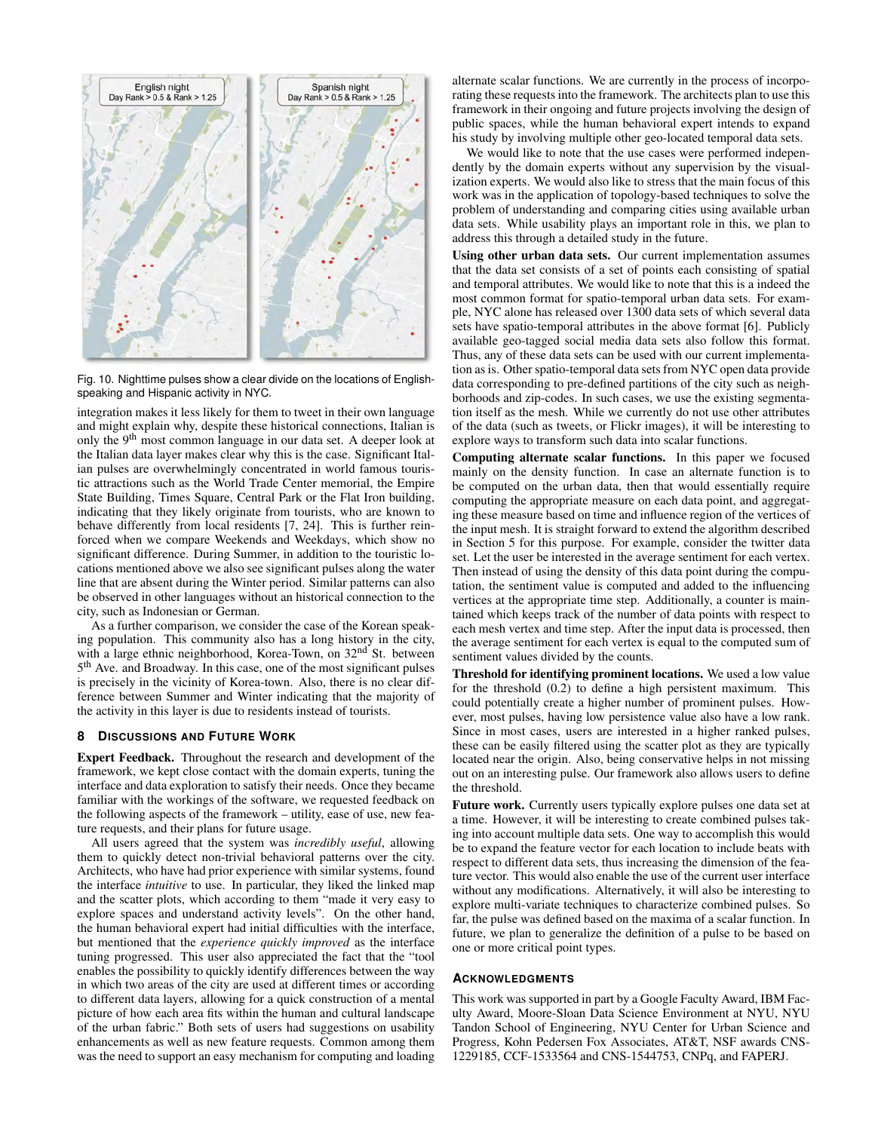

<span id="page-8-0"></span>Fig. 10. Nighttime pulses show a clear divide on the locations of Englishspeaking and Hispanic activity in NYC.

integration makes it less likely for them to tweet in their own language and might explain why, despite these historical connections, Italian is only the 9<sup>th</sup> most common language in our data set. A deeper look at the Italian data layer makes clear why this is the case. Significant Italian pulses are overwhelmingly concentrated in world famous touristic attractions such as the World Trade Center memorial, the Empire State Building, Times Square, Central Park or the Flat Iron building, indicating that they likely originate from tourists, who are known to behave differently from local residents [\[7,](#page-9-51) [24\]](#page-9-33). This is further reinforced when we compare Weekends and Weekdays, which show no significant difference. During Summer, in addition to the touristic locations mentioned above we also see significant pulses along the water line that are absent during the Winter period. Similar patterns can also be observed in other languages without an historical connection to the city, such as Indonesian or German.

As a further comparison, we consider the case of the Korean speaking population. This community also has a long history in the city, with a large ethnic neighborhood, Korea-Town, on 32<sup>nd</sup> St. between 5<sup>th</sup> Ave. and Broadway. In this case, one of the most significant pulses is precisely in the vicinity of Korea-town. Also, there is no clear difference between Summer and Winter indicating that the majority of the activity in this layer is due to residents instead of tourists.

# **8 DISCUSSIONS AND FUTURE WORK**

Expert Feedback. Throughout the research and development of the framework, we kept close contact with the domain experts, tuning the interface and data exploration to satisfy their needs. Once they became familiar with the workings of the software, we requested feedback on the following aspects of the framework – utility, ease of use, new feature requests, and their plans for future usage.

All users agreed that the system was *incredibly useful*, allowing them to quickly detect non-trivial behavioral patterns over the city. Architects, who have had prior experience with similar systems, found the interface *intuitive* to use. In particular, they liked the linked map and the scatter plots, which according to them "made it very easy to explore spaces and understand activity levels". On the other hand, the human behavioral expert had initial difficulties with the interface, but mentioned that the *experience quickly improved* as the interface tuning progressed. This user also appreciated the fact that the "tool enables the possibility to quickly identify differences between the way in which two areas of the city are used at different times or according to different data layers, allowing for a quick construction of a mental picture of how each area fits within the human and cultural landscape of the urban fabric." Both sets of users had suggestions on usability enhancements as well as new feature requests. Common among them was the need to support an easy mechanism for computing and loading alternate scalar functions. We are currently in the process of incorporating these requests into the framework. The architects plan to use this framework in their ongoing and future projects involving the design of public spaces, while the human behavioral expert intends to expand his study by involving multiple other geo-located temporal data sets.

We would like to note that the use cases were performed independently by the domain experts without any supervision by the visualization experts. We would also like to stress that the main focus of this work was in the application of topology-based techniques to solve the problem of understanding and comparing cities using available urban data sets. While usability plays an important role in this, we plan to address this through a detailed study in the future.

Using other urban data sets. Our current implementation assumes that the data set consists of a set of points each consisting of spatial and temporal attributes. We would like to note that this is a indeed the most common format for spatio-temporal urban data sets. For example, NYC alone has released over 1300 data sets of which several data sets have spatio-temporal attributes in the above format [\[6\]](#page-9-52). Publicly available geo-tagged social media data sets also follow this format. Thus, any of these data sets can be used with our current implementation as is. Other spatio-temporal data sets from NYC open data provide data corresponding to pre-defined partitions of the city such as neighborhoods and zip-codes. In such cases, we use the existing segmentation itself as the mesh. While we currently do not use other attributes of the data (such as tweets, or Flickr images), it will be interesting to explore ways to transform such data into scalar functions.

Computing alternate scalar functions. In this paper we focused mainly on the density function. In case an alternate function is to be computed on the urban data, then that would essentially require computing the appropriate measure on each data point, and aggregating these measure based on time and influence region of the vertices of the input mesh. It is straight forward to extend the algorithm described in Section [5](#page-4-0) for this purpose. For example, consider the twitter data set. Let the user be interested in the average sentiment for each vertex. Then instead of using the density of this data point during the computation, the sentiment value is computed and added to the influencing vertices at the appropriate time step. Additionally, a counter is maintained which keeps track of the number of data points with respect to each mesh vertex and time step. After the input data is processed, then the average sentiment for each vertex is equal to the computed sum of sentiment values divided by the counts.

Threshold for identifying prominent locations. We used a low value for the threshold (0.2) to define a high persistent maximum. This could potentially create a higher number of prominent pulses. However, most pulses, having low persistence value also have a low rank. Since in most cases, users are interested in a higher ranked pulses, these can be easily filtered using the scatter plot as they are typically located near the origin. Also, being conservative helps in not missing out on an interesting pulse. Our framework also allows users to define the threshold.

Future work. Currently users typically explore pulses one data set at a time. However, it will be interesting to create combined pulses taking into account multiple data sets. One way to accomplish this would be to expand the feature vector for each location to include beats with respect to different data sets, thus increasing the dimension of the feature vector. This would also enable the use of the current user interface without any modifications. Alternatively, it will also be interesting to explore multi-variate techniques to characterize combined pulses. So far, the pulse was defined based on the maxima of a scalar function. In future, we plan to generalize the definition of a pulse to be based on one or more critical point types.

#### **ACKNOWLEDGMENTS**

This work was supported in part by a Google Faculty Award, IBM Faculty Award, Moore-Sloan Data Science Environment at NYU, NYU Tandon School of Engineering, NYU Center for Urban Science and Progress, Kohn Pedersen Fox Associates, AT&T, NSF awards CNS-1229185, CCF-1533564 and CNS-1544753, CNPq, and FAPERJ.